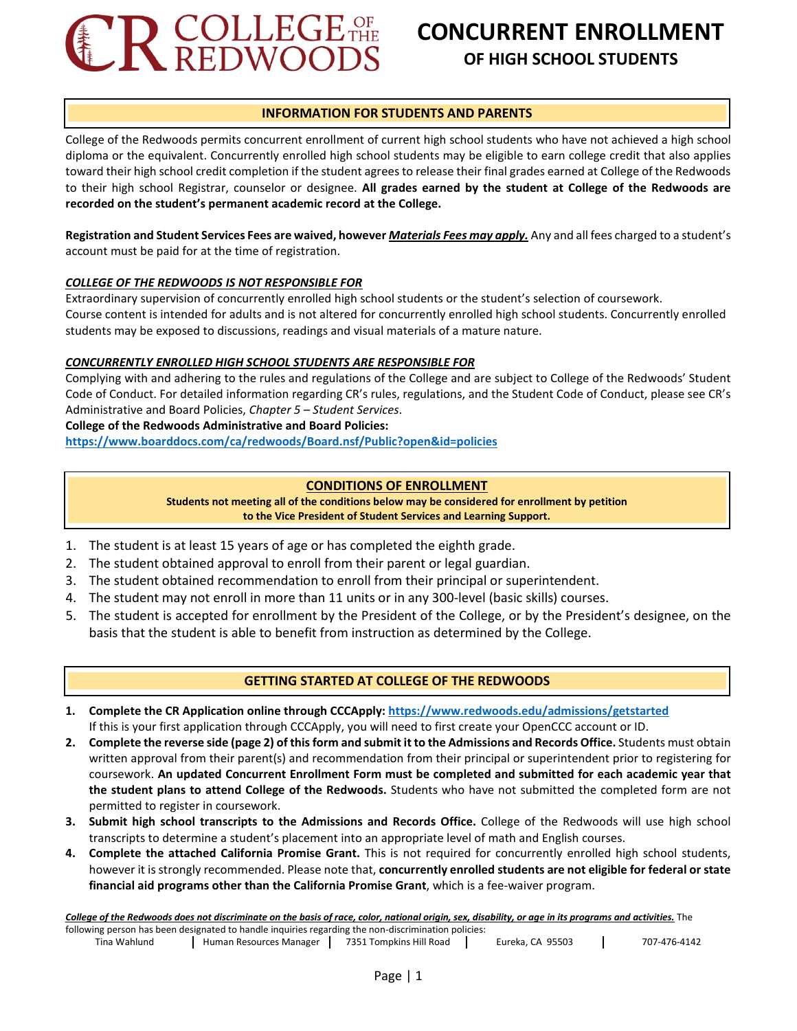

# **CONCURRENT ENROLLMENT OF HIGH SCHOOL STUDENTS**

# **INFORMATION FOR STUDENTS AND PARENTS**

College of the Redwoods permits concurrent enrollment of current high school students who have not achieved a high school diploma or the equivalent. Concurrently enrolled high school students may be eligible to earn college credit that also applies toward their high school credit completion if the student agrees to release their final grades earned at College of the Redwoods to their high school Registrar, counselor or designee. **All grades earned by the student at College of the Redwoods are recorded on the student's permanent academic record at the College.** 

**Registration and Student Services Fees are waived, however** *Materials Fees may apply.* Any and all fees charged to a student's account must be paid for at the time of registration.

# *COLLEGE OF THE REDWOODS IS NOT RESPONSIBLE FOR*

Extraordinary supervision of concurrently enrolled high school students or the student's selection of coursework. Course content is intended for adults and is not altered for concurrently enrolled high school students. Concurrently enrolled students may be exposed to discussions, readings and visual materials of a mature nature.

# *CONCURRENTLY ENROLLED HIGH SCHOOL STUDENTS ARE RESPONSIBLE FOR*

Complying with and adhering to the rules and regulations of the College and are subject to College of the Redwoods' Student Code of Conduct. For detailed information regarding CR's rules, regulations, and the Student Code of Conduct, please see CR's Administrative and Board Policies, *Chapter 5 – Student Services*.

# **College of the Redwoods Administrative and Board Policies:**

**<https://www.boarddocs.com/ca/redwoods/Board.nsf/Public?open&id=policies>**

# **CONDITIONS OF ENROLLMENT**

**Students not meeting all of the conditions below may be considered for enrollment by petition to the Vice President of Student Services and Learning Support.**

- 1. The student is at least 15 years of age or has completed the eighth grade.
- 2. The student obtained approval to enroll from their parent or legal guardian.
- 3. The student obtained recommendation to enroll from their principal or superintendent.
- 4. The student may not enroll in more than 11 units or in any 300-level (basic skills) courses.
- 5. The student is accepted for enrollment by the President of the College, or by the President's designee, on the basis that the student is able to benefit from instruction as determined by the College.

# **GETTING STARTED AT COLLEGE OF THE REDWOODS**

- **1. Complete the CR Application online through CCCApply[: https://www.redwoods.edu/admissions/getstarted](https://www.redwoods.edu/admissions/getstarted)** If this is your first application through CCCApply, you will need to first create your OpenCCC account or ID.
- **2. Complete the reverse side (page 2) of this form and submit it to the Admissions and Records Office.** Students must obtain written approval from their parent(s) and recommendation from their principal or superintendent prior to registering for coursework. **An updated Concurrent Enrollment Form must be completed and submitted for each academic year that the student plans to attend College of the Redwoods.** Students who have not submitted the completed form are not permitted to register in coursework.
- **3. Submit high school transcripts to the Admissions and Records Office.** College of the Redwoods will use high school transcripts to determine a student's placement into an appropriate level of math and English courses.
- **4. Complete the attached California Promise Grant.** This is not required for concurrently enrolled high school students, however it is strongly recommended. Please note that, **concurrently enrolled students are not eligible for federal or state financial aid programs other than the California Promise Grant**, which is a fee-waiver program.

*College of the Redwoods does not discriminate on the basis of race, color, national origin, sex, disability, or age in its programs and activities.* The following person has been designated to handle inquiries regarding the non-discrimination policies:

Tina Wahlund | Human Resources Manager | 7351 Tompkins Hill Road | Eureka, CA 95503 | 707-476-4142